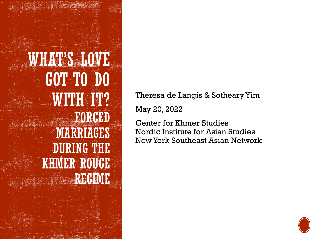WHAT'S LOVE GOT TO DO WITH IT? FORCED MARRIAGES DURING THE KHMER ROUGE REGIME

Theresa de Langis & Sotheary Yim

May 20, 2022

Center for Khmer Studies Nordic Institute for Asian Studies New York Southeast Asian Network

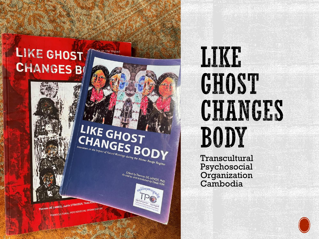## **LIKE GHOST CHANGES BI**

LIKE GHOST **CHANGES BO** Interviews on the Impact of Forced Marriage during the Khmer Rouge Regime

As told to and translated by Theresa<br>As told to and translated by Thido KIM

tv on the Impact

Theresa DE LANGIS, Judith STRASSER, Thida KI DE LANGIS, Judith STINGS<br>TRANSCULTURAL PSYCHOSOCIAL ORGANISATION LIKE **GHOST** CHANGES BODY

Transcultural Psychosocial **Organization** Cambodia

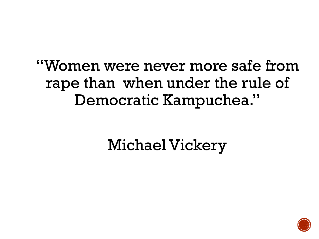# "Women were never more safe from rape than when under the rule of Democratic Kampuchea."

## Michael Vickery

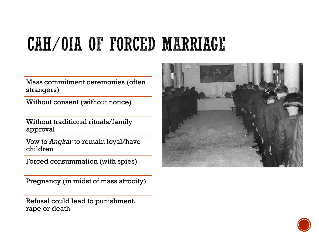# CAH/OIA OF FORCED MARRIAGE

Mass commitment ceremonies (often strangers)

Without consent (without notice)

Without traditional rituals/family approval

Vow to *Angkar* to remain loyal/have children

Forced consummation (with spies)

Pregnancy (in midst of mass atrocity)

Refusal could lead to punishment, rape or death



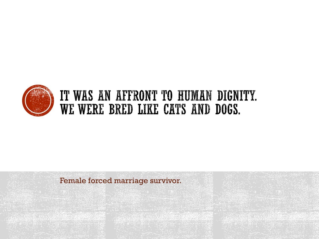

### IT WAS AN AFFRONT TO HUMAN DIGNITY. WE WERE BRED LIKE CATS AND DOGS.

#### Female forced marriage survivor.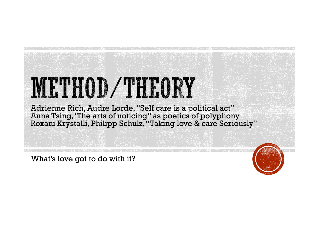# METHOD/THEORY

Adrienne Rich, Audre Lorde, "Self care is a political act" Anna Tsing, 'The arts of noticing" as poetics of polyphony Roxani Krystalli, Philipp Schulz, "Taking love & care Seriously

What's love got to do with it?

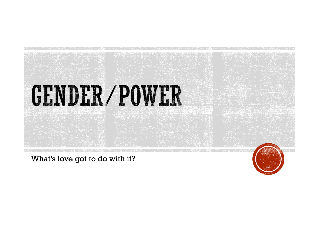

What's love got to do with it?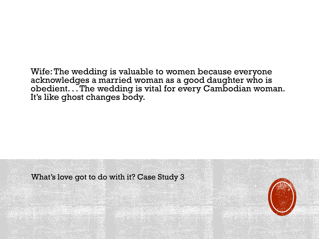Wife: The wedding is valuable to women because everyone acknowledges a married woman as a good daughter who is obedient. . . The wedding is vital for every Cambodian woman. It's like ghost changes body.

What's love got to do with it? Case Study 3

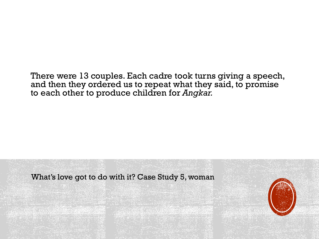There were 13 couples. Each cadre took turns giving a speech, and then they ordered us to repeat what they said, to promise to each other to produce children for *Angkar.*

What's love got to do with it? Case Study 5, woman

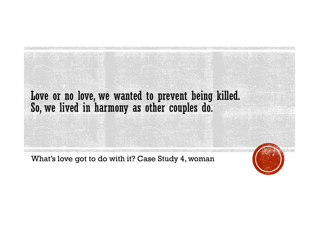

What's love got to do with it? Case Study 4, woman

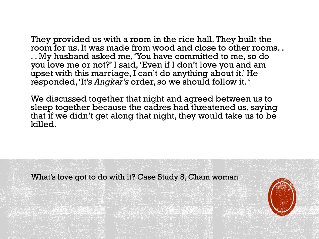They provided us with a room in the rice hall. They built the room for us. It was made from wood and close to other rooms. . . . My husband asked me, 'You have committed to me, so do you love me or not?' I said, 'Even if I don't love you and am upset with this marriage, I can't do anything about it.' He responded, 'It's *Angkar's* order, so we should follow it. '

We discussed together that night and agreed between us to sleep together because the cadres had threatened us, saying that if we didn't get along that night, they would take us to be killed.

What's love got to do with it? Case Study 8, Cham woman

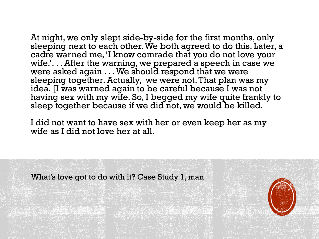At night, we only slept side-by-side for the first months, only sleeping next to each other. We both agreed to do this. Later, a cadre warned me, 'I know comrade that you do not love your wife.'. . . After the warning, we prepared a speech in case we were asked again . . . We should respond that we were sleeping together. Actually, we were not. That plan was my idea. [I was warned again to be careful because I was not having sex with my wife. So, I begged my wife quite frankly to sleep together because if we did not, we would be killed.

I did not want to have sex with her or even keep her as my wife as I did not love her at all.

What's love got to do with it? Case Study 1, man

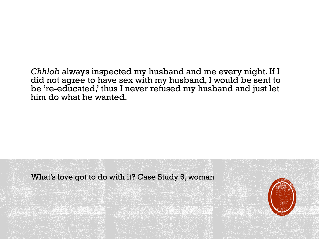*Chhlob* always inspected my husband and me every night. If I did not agree to have sex with my husband, I would be sent to be 're-educated,' thus I never refused my husband and just let him do what he wanted.

What's love got to do with it? Case Study 6, woman

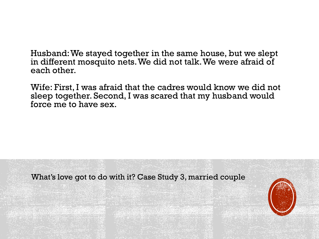Husband: We stayed together in the same house, but we slept in different mosquito nets. We did not talk. We were afraid of each other.

Wife: First, I was afraid that the cadres would know we did not sleep together. Second, I was scared that my husband would force me to have sex.

What's love got to do with it? Case Study 3, married couple

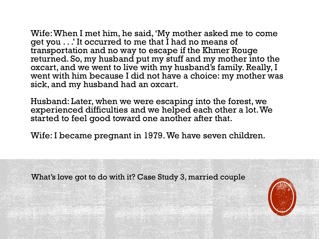Wife: When I met him, he said, 'My mother asked me to come get you . . .' It occurred to me that I had no means of transportation and no way to escape if the Khmer Rouge returned. So, my husband put my stuff and my mother into the oxcart, and we went to live with my husband's family. Really, I went with him because I did not have a choice: my mother was sick, and my husband had an oxcart.

Husband: Later, when we were escaping into the forest, we experienced difficulties and we helped each other a lot. We started to feel good toward one another after that.

Wife: I became pregnant in 1979. We have seven children.

What's love got to do with it? Case Study 3, married couple

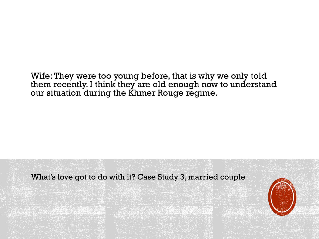Wife: They were too young before, that is why we only told them recently. I think they are old enough now to understand our situation during the Khmer Rouge regime.

What's love got to do with it? Case Study 3, married couple